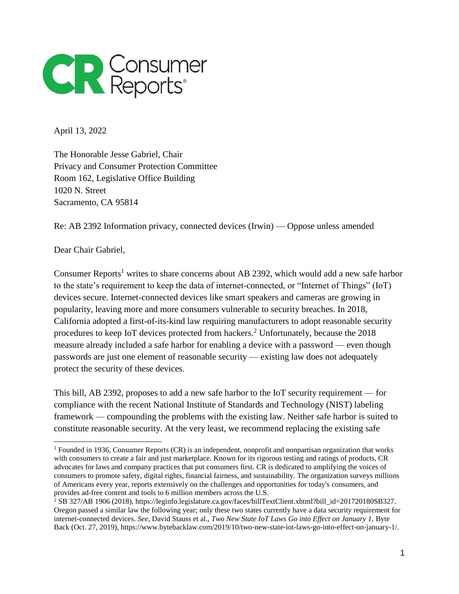

April 13, 2022

The Honorable Jesse Gabriel, Chair Privacy and Consumer Protection Committee Room 162, Legislative Office Building 1020 N. Street Sacramento, CA 95814

Re: AB 2392 Information privacy, connected devices (Irwin) — Oppose unless amended

Dear Chair Gabriel,

Consumer Reports<sup>1</sup> writes to share concerns about AB 2392, which would add a new safe harbor to the state's requirement to keep the data of internet-connected, or "Internet of Things" (IoT) devices secure. Internet-connected devices like smart speakers and cameras are growing in popularity, leaving more and more consumers vulnerable to security breaches. In 2018, California adopted a first-of-its-kind law requiring manufacturers to adopt reasonable security procedures to keep IoT devices protected from hackers.<sup>2</sup> Unfortunately, because the 2018 measure already included a safe harbor for enabling a device with a password — even though passwords are just one element of reasonable security — existing law does not adequately protect the security of these devices.

This bill, AB 2392, proposes to add a new safe harbor to the IoT security requirement — for compliance with the recent National Institute of Standards and Technology (NIST) labeling framework — compounding the problems with the existing law. Neither safe harbor is suited to constitute reasonable security. At the very least, we recommend replacing the existing safe

<sup>1</sup> Founded in 1936, Consumer Reports (CR) is an independent, nonprofit and nonpartisan organization that works with consumers to create a fair and just marketplace. Known for its rigorous testing and ratings of products, CR advocates for laws and company practices that put consumers first. CR is dedicated to amplifying the voices of consumers to promote safety, digital rights, financial fairness, and sustainability. The organization surveys millions of Americans every year, reports extensively on the challenges and opportunities for today's consumers, and provides ad-free content and tools to 6 million members across the U.S.

<sup>2</sup> SB 327/AB 1906 (2018), https://leginfo.legislature.ca.gov/faces/billTextClient.xhtml?bill\_id=201720180SB327. Oregon passed a similar law the following year; only these two states currently have a data security requirement for internet-connected devices. *See*, David Stauss et al., *Two New State IoT Laws Go into Effect on January 1,* Byte Back (Oct. 27, 2019), https://www.bytebacklaw.com/2019/10/two-new-state-iot-laws-go-into-effect-on-january-1/.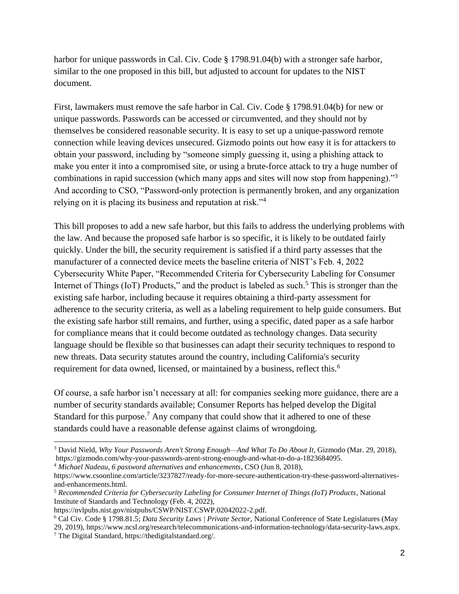harbor for unique passwords in Cal. Civ. Code § 1798.91.04(b) with a stronger safe harbor, similar to the one proposed in this bill, but adjusted to account for updates to the NIST document.

First, lawmakers must remove the safe harbor in Cal. Civ. Code § 1798.91.04(b) for new or unique passwords. Passwords can be accessed or circumvented, and they should not by themselves be considered reasonable security. It is easy to set up a unique-password remote connection while leaving devices unsecured. Gizmodo points out how easy it is for attackers to obtain your password, including by "someone simply guessing it, using a phishing attack to make you enter it into a compromised site, or using a brute-force attack to try a huge number of combinations in rapid succession (which many apps and sites will now stop from happening)."<sup>3</sup> And according to CSO, "Password-only protection is permanently broken, and any organization relying on it is placing its business and reputation at risk."<sup>4</sup>

This bill proposes to add a new safe harbor, but this fails to address the underlying problems with the law. And because the proposed safe harbor is so specific, it is likely to be outdated fairly quickly. Under the bill, the security requirement is satisfied if a third party assesses that the manufacturer of a connected device meets the baseline criteria of NIST's Feb. 4, 2022 Cybersecurity White Paper, "Recommended Criteria for Cybersecurity Labeling for Consumer Internet of Things (IoT) Products," and the product is labeled as such.<sup>5</sup> This is stronger than the existing safe harbor, including because it requires obtaining a third-party assessment for adherence to the security criteria, as well as a labeling requirement to help guide consumers. But the existing safe harbor still remains, and further, using a specific, dated paper as a safe harbor for compliance means that it could become outdated as technology changes. Data security language should be flexible so that businesses can adapt their security techniques to respond to new threats. Data security statutes around the country, including California's security requirement for data owned, licensed, or maintained by a business, reflect this.<sup>6</sup>

Of course, a safe harbor isn't necessary at all: for companies seeking more guidance, there are a number of security standards available; Consumer Reports has helped develop the Digital Standard for this purpose.<sup>7</sup> Any company that could show that it adhered to one of these standards could have a reasonable defense against claims of wrongdoing.

<sup>4</sup> *Michael Nadeau, 6 password alternatives and enhancements*, CSO (Jun 8, 2018), https://www.csoonline.com/article/3237827/ready-for-more-secure-authentication-try-these-password-alternativesand-enhancements.html.

<sup>3</sup> David Nield, *Why Your Passwords Aren't Strong Enough—And What To Do About It*, Gizmodo (Mar. 29, 2018), https://gizmodo.com/why-your-passwords-arent-strong-enough-and-what-to-do-a-1823684095.

<sup>5</sup> *Recommended Criteria for Cybersecurity Labeling for Consumer Internet of Things (IoT) Products*, National Institute of Standards and Technology (Feb. 4, 2022),

https://nvlpubs.nist.gov/nistpubs/CSWP/NIST.CSWP.02042022-2.pdf.

<sup>6</sup> Cal Civ. Code § 1798.81.5; *Data Security Laws | Private Sector,* National Conference of State Legislatures (May 29, 2019), https://www.ncsl.org/research/telecommunications-and-information-technology/data-security-laws.aspx.

<sup>7</sup> The Digital Standard, https://thedigitalstandard.org/.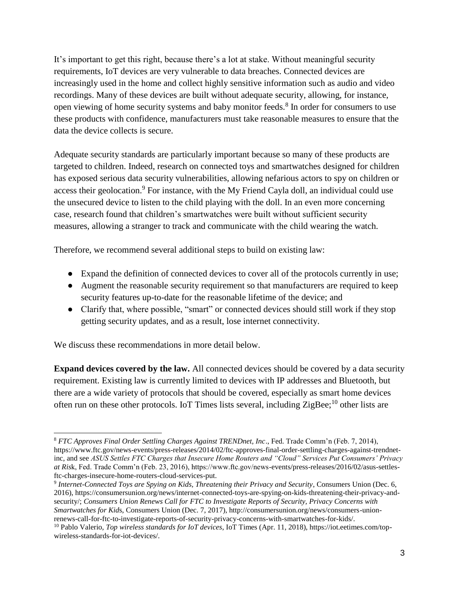It's important to get this right, because there's a lot at stake. Without meaningful security requirements, IoT devices are very vulnerable to data breaches. Connected devices are increasingly used in the home and collect highly sensitive information such as audio and video recordings. Many of these devices are built without adequate security, allowing, for instance, open viewing of home security systems and baby monitor feeds.<sup>8</sup> In order for consumers to use these products with confidence, manufacturers must take reasonable measures to ensure that the data the device collects is secure.

Adequate security standards are particularly important because so many of these products are targeted to children. Indeed, research on connected toys and smartwatches designed for children has exposed serious data security vulnerabilities, allowing nefarious actors to spy on children or access their geolocation.<sup>9</sup> For instance, with the My Friend Cayla doll, an individual could use the unsecured device to listen to the child playing with the doll. In an even more concerning case, research found that children's smartwatches were built without sufficient security measures, allowing a stranger to track and communicate with the child wearing the watch.

Therefore, we recommend several additional steps to build on existing law:

- Expand the definition of connected devices to cover all of the protocols currently in use;
- Augment the reasonable security requirement so that manufacturers are required to keep security features up-to-date for the reasonable lifetime of the device; and
- Clarify that, where possible, "smart" or connected devices should still work if they stop getting security updates, and as a result, lose internet connectivity.

We discuss these recommendations in more detail below.

**Expand devices covered by the law.** All connected devices should be covered by a data security requirement. Existing law is currently limited to devices with IP addresses and Bluetooth, but there are a wide variety of protocols that should be covered, especially as smart home devices often run on these other protocols. IoT Times lists several, including ZigBee;<sup>10</sup> other lists are

 <sup>8</sup> *FTC Approves Final Order Settling Charges Against TRENDnet, Inc*., Fed. Trade Comm'n (Feb. 7, 2014), https://www.ftc.gov/news-events/press-releases/2014/02/ftc-approves-final-order-settling-charges-against-trendnetinc, and see *ASUS Settles FTC Charges that Insecure Home Routers and "Cloud" Services Put Consumers' Privacy at Ris*k, Fed. Trade Comm'n (Feb. 23, 2016), https://www.ftc.gov/news-events/press-releases/2016/02/asus-settlesftc-charges-insecure-home-routers-cloud-services-put.

<sup>9</sup> *Internet-Connected Toys are Spying on Kids, Threatening their Privacy and Security*, Consumers Union (Dec. 6, 2016), https://consumersunion.org/news/internet-connected-toys-are-spying-on-kids-threatening-their-privacy-andsecurity/; *Consumers Union Renews Call for FTC to Investigate Reports of Security, Privacy Concerns with Smartwatches for Kid*s, Consumers Union (Dec. 7, 2017), http://consumersunion.org/news/consumers-unionrenews-call-for-ftc-to-investigate-reports-of-security-privacy-concerns-with-smartwatches-for-kids/.

<sup>10</sup> Pablo Valerio, *Top wireless standards for IoT devices*, IoT Times (Apr. 11, 2018), https://iot.eetimes.com/topwireless-standards-for-iot-devices/.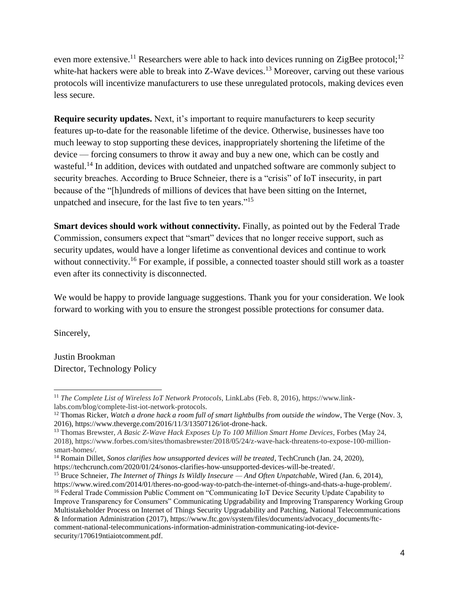even more extensive.<sup>11</sup> Researchers were able to hack into devices running on ZigBee protocol;<sup>12</sup> white-hat hackers were able to break into  $Z$ -Wave devices.<sup>13</sup> Moreover, carving out these various protocols will incentivize manufacturers to use these unregulated protocols, making devices even less secure.

**Require security updates.** Next, it's important to require manufacturers to keep security features up-to-date for the reasonable lifetime of the device. Otherwise, businesses have too much leeway to stop supporting these devices, inappropriately shortening the lifetime of the device — forcing consumers to throw it away and buy a new one, which can be costly and wasteful.<sup>14</sup> In addition, devices with outdated and unpatched software are commonly subject to security breaches. According to Bruce Schneier, there is a "crisis" of IoT insecurity, in part because of the "[h]undreds of millions of devices that have been sitting on the Internet, unpatched and insecure, for the last five to ten years."<sup>15</sup>

**Smart devices should work without connectivity.** Finally, as pointed out by the Federal Trade Commission, consumers expect that "smart" devices that no longer receive support, such as security updates, would have a longer lifetime as conventional devices and continue to work without connectivity.<sup>16</sup> For example, if possible, a connected toaster should still work as a toaster even after its connectivity is disconnected.

We would be happy to provide language suggestions. Thank you for your consideration. We look forward to working with you to ensure the strongest possible protections for consumer data.

Sincerely,

 $\overline{a}$ 

Justin Brookman Director, Technology Policy

<sup>11</sup> *The Complete List of Wireless IoT Network Protocols*, LinkLabs (Feb. 8, 2016), https://www.linklabs.com/blog/complete-list-iot-network-protocols.

<sup>12</sup> Thomas Ricker, *Watch a drone hack a room full of smart lightbulbs from outside the window*, The Verge (Nov. 3, 2016), https://www.theverge.com/2016/11/3/13507126/iot-drone-hack.

<sup>13</sup> Thomas Brewster, *A Basic Z-Wave Hack Exposes Up To 100 Million Smart Home Devices*, Forbes (May 24, 2018), https://www.forbes.com/sites/thomasbrewster/2018/05/24/z-wave-hack-threatens-to-expose-100-millionsmart-homes/.

<sup>14</sup> Romain Dillet, *Sonos clarifies how unsupported devices will be treated*, TechCrunch (Jan. 24, 2020), https://techcrunch.com/2020/01/24/sonos-clarifies-how-unsupported-devices-will-be-treated/.

<sup>15</sup> Bruce Schneier, *The Internet of Things Is Wildly Insecure — And Often Unpatchable*, Wired (Jan. 6, 2014), https://www.wired.com/2014/01/theres-no-good-way-to-patch-the-internet-of-things-and-thats-a-huge-problem/.

<sup>16</sup> Federal Trade Commission Public Comment on "Communicating IoT Device Security Update Capability to Improve Transparency for Consumers" Communicating Upgradability and Improving Transparency Working Group Multistakeholder Process on Internet of Things Security Upgradability and Patching, National Telecommunications & Information Administration (2017), https://www.ftc.gov/system/files/documents/advocacy\_documents/ftccomment-national-telecommunications-information-administration-communicating-iot-devicesecurity/170619ntiaiotcomment.pdf.